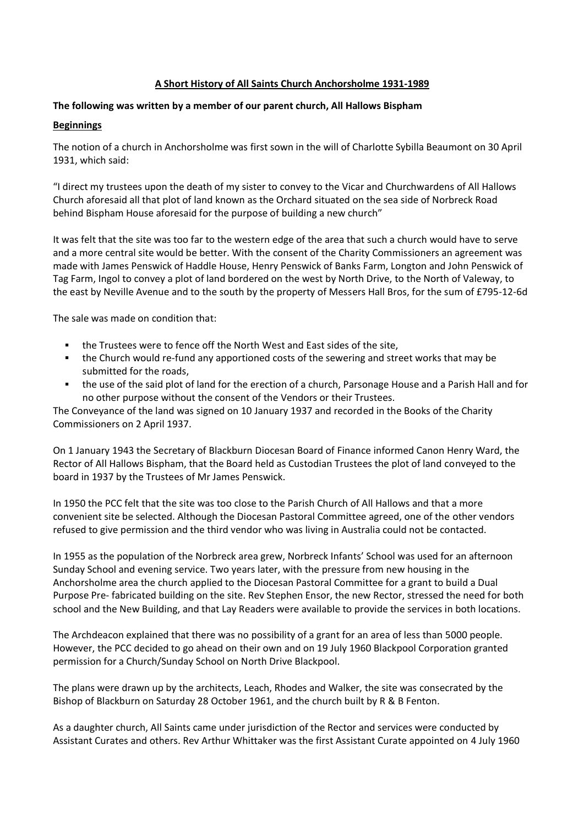## **A Short History of All Saints Church Anchorsholme 1931-1989**

## **The following was written by a member of our parent church, All Hallows Bispham**

## **Beginnings**

The notion of a church in Anchorsholme was first sown in the will of Charlotte Sybilla Beaumont on 30 April 1931, which said:

"I direct my trustees upon the death of my sister to convey to the Vicar and Churchwardens of All Hallows Church aforesaid all that plot of land known as the Orchard situated on the sea side of Norbreck Road behind Bispham House aforesaid for the purpose of building a new church"

It was felt that the site was too far to the western edge of the area that such a church would have to serve and a more central site would be better. With the consent of the Charity Commissioners an agreement was made with James Penswick of Haddle House, Henry Penswick of Banks Farm, Longton and John Penswick of Tag Farm, Ingol to convey a plot of land bordered on the west by North Drive, to the North of Valeway, to the east by Neville Avenue and to the south by the property of Messers Hall Bros, for the sum of £795-12-6d

The sale was made on condition that:

- the Trustees were to fence off the North West and East sides of the site,
- the Church would re-fund any apportioned costs of the sewering and street works that may be submitted for the roads,
- the use of the said plot of land for the erection of a church, Parsonage House and a Parish Hall and for no other purpose without the consent of the Vendors or their Trustees.

The Conveyance of the land was signed on 10 January 1937 and recorded in the Books of the Charity Commissioners on 2 April 1937.

On 1 January 1943 the Secretary of Blackburn Diocesan Board of Finance informed Canon Henry Ward, the Rector of All Hallows Bispham, that the Board held as Custodian Trustees the plot of land conveyed to the board in 1937 by the Trustees of Mr James Penswick.

In 1950 the PCC felt that the site was too close to the Parish Church of All Hallows and that a more convenient site be selected. Although the Diocesan Pastoral Committee agreed, one of the other vendors refused to give permission and the third vendor who was living in Australia could not be contacted.

In 1955 as the population of the Norbreck area grew, Norbreck Infants' School was used for an afternoon Sunday School and evening service. Two years later, with the pressure from new housing in the Anchorsholme area the church applied to the Diocesan Pastoral Committee for a grant to build a Dual Purpose Pre- fabricated building on the site. Rev Stephen Ensor, the new Rector, stressed the need for both school and the New Building, and that Lay Readers were available to provide the services in both locations.

The Archdeacon explained that there was no possibility of a grant for an area of less than 5000 people. However, the PCC decided to go ahead on their own and on 19 July 1960 Blackpool Corporation granted permission for a Church/Sunday School on North Drive Blackpool.

The plans were drawn up by the architects, Leach, Rhodes and Walker, the site was consecrated by the Bishop of Blackburn on Saturday 28 October 1961, and the church built by R & B Fenton.

As a daughter church, All Saints came under jurisdiction of the Rector and services were conducted by Assistant Curates and others. Rev Arthur Whittaker was the first Assistant Curate appointed on 4 July 1960